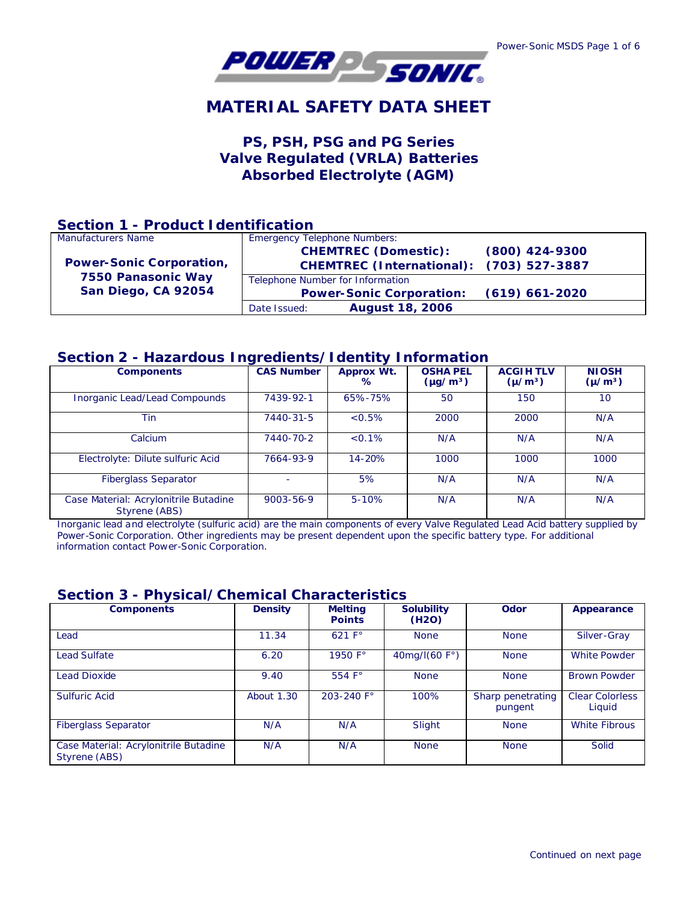

# **MATERIAL SAFETY DATA SHEET**

## **PS, PSH, PSG and PG Series Valve Regulated (VRLA) Batteries Absorbed Electrolyte (AGM)**

## **Section 1 - Product Identification**

| Manufacturers Name                                                           | <b>Emergency Telephone Numbers:</b>      |                  |  |
|------------------------------------------------------------------------------|------------------------------------------|------------------|--|
|                                                                              | <b>CHEMTREC (Domestic):</b>              | $(800)$ 424-9300 |  |
| <b>Power-Sonic Corporation,</b><br>7550 Panasonic Way<br>San Diego, CA 92054 | CHEMTREC (International): (703) 527-3887 |                  |  |
|                                                                              | Telephone Number for Information         |                  |  |
|                                                                              | <b>Power-Sonic Corporation:</b>          | $(619)$ 661-2020 |  |
|                                                                              | <b>August 18, 2006</b><br>Date Issued:   |                  |  |

## **Section 2 - Hazardous Ingredients/Identity Information**

| ÷                                                      |                   |                 |                                  |                                |                             |
|--------------------------------------------------------|-------------------|-----------------|----------------------------------|--------------------------------|-----------------------------|
| <b>Components</b>                                      | <b>CAS Number</b> | Approx Wt.<br>℅ | <b>OSHA PEL</b><br>$(\mu g/m^3)$ | <b>ACGIHTLV</b><br>$(\mu/m^3)$ | <b>NIOSH</b><br>$(\mu/m^3)$ |
| Inorganic Lead/Lead Compounds                          | 7439-92-1         | 65%-75%         | 50                               | 150                            | 10                          |
| Tin                                                    | 7440-31-5         | < 0.5%          | 2000                             | 2000                           | N/A                         |
| Calcium                                                | 7440-70-2         | $< 0.1\%$       | N/A                              | N/A                            | N/A                         |
| Electrolyte: Dilute sulfuric Acid                      | 7664-93-9         | 14-20%          | 1000                             | 1000                           | 1000                        |
| <b>Fiberglass Separator</b>                            |                   | 5%              | N/A                              | N/A                            | N/A                         |
| Case Material: Acrylonitrile Butadine<br>Styrene (ABS) | $9003 - 56 - 9$   | $5 - 10%$       | N/A                              | N/A                            | N/A                         |

 Inorganic lead and electrolyte (sulfuric acid) are the main components of every Valve Regulated Lead Acid battery supplied by Power-Sonic Corporation. Other ingredients may be present dependent upon the specific battery type. For additional information contact Power-Sonic Corporation.

## **Section 3 - Physical/Chemical Characteristics**

| <b>Components</b>                                      | <b>Density</b>    | <b>Melting</b><br><b>Points</b> | <b>Solubility</b><br>(H <sub>2</sub> O) | Odor                         | Appearance                       |
|--------------------------------------------------------|-------------------|---------------------------------|-----------------------------------------|------------------------------|----------------------------------|
| Lead                                                   | 11.34             | 621 F <sup>o</sup>              | <b>None</b>                             | <b>None</b>                  | Silver-Gray                      |
| <b>Lead Sulfate</b>                                    | 6.20              | 1950 F°                         | 40mg/I(60 F°)                           | <b>None</b>                  | <b>White Powder</b>              |
| <b>Lead Dioxide</b>                                    | 9.40              | 554 $F^{\circ}$                 | <b>None</b>                             | <b>None</b>                  | <b>Brown Powder</b>              |
| <b>Sulfuric Acid</b>                                   | <b>About 1.30</b> | 203-240 F°                      | 100%                                    | Sharp penetrating<br>pungent | <b>Clear Colorless</b><br>Liquid |
| <b>Fiberglass Separator</b>                            | N/A               | N/A                             | Slight                                  | <b>None</b>                  | <b>White Fibrous</b>             |
| Case Material: Acrylonitrile Butadine<br>Styrene (ABS) | N/A               | N/A                             | <b>None</b>                             | <b>None</b>                  | Solid                            |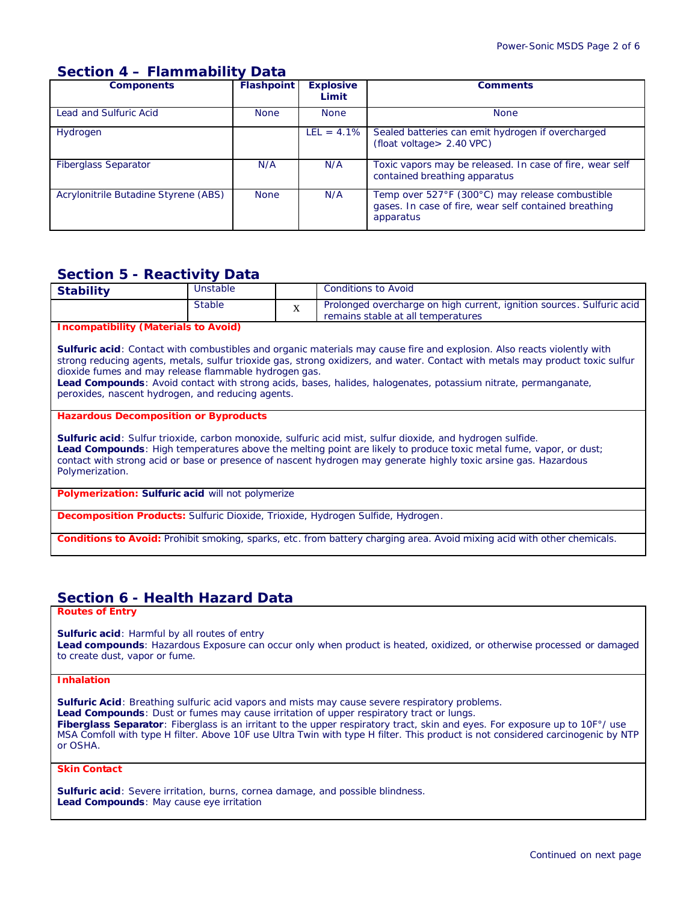## **Section 4 – Flammability Data**

| <b>Components</b>                    | <b>Flashpoint</b> | <b>Explosive</b><br>Limit | <b>Comments</b>                                                                                                       |
|--------------------------------------|-------------------|---------------------------|-----------------------------------------------------------------------------------------------------------------------|
| Lead and Sulfuric Acid               | <b>None</b>       | <b>None</b>               | <b>None</b>                                                                                                           |
| Hydrogen                             |                   | $LEL = 4.1\%$             | Sealed batteries can emit hydrogen if overcharged<br>(float voltage > 2.40 VPC)                                       |
| <b>Fiberglass Separator</b>          | N/A               | N/A                       | Toxic vapors may be released. In case of fire, wear self<br>contained breathing apparatus                             |
| Acrylonitrile Butadine Styrene (ABS) | <b>None</b>       | N/A                       | Temp over 527°F (300°C) may release combustible<br>gases. In case of fire, wear self contained breathing<br>apparatus |

## **Section 5 - Reactivity Data**

| Stable | Prolonged overcharge on high current, ignition sources. Sulfuric acid<br>remains stable at all temperatures |
|--------|-------------------------------------------------------------------------------------------------------------|

## **Incompatibility (Materials to Avoid)**

**Sulfuric acid**: Contact with combustibles and organic materials may cause fire and explosion. Also reacts violently with strong reducing agents, metals, sulfur trioxide gas, strong oxidizers, and water. Contact with metals may product toxic sulfur dioxide fumes and may release flammable hydrogen gas.

**Lead Compounds**: Avoid contact with strong acids, bases, halides, halogenates, potassium nitrate, permanganate, peroxides, nascent hydrogen, and reducing agents.

#### **Hazardous Decomposition or Byproducts**

**Sulfuric acid**: Sulfur trioxide, carbon monoxide, sulfuric acid mist, sulfur dioxide, and hydrogen sulfide. **Lead Compounds**: High temperatures above the melting point are likely to produce toxic metal fume, vapor, or dust; contact with strong acid or base or presence of nascent hydrogen may generate highly toxic arsine gas. Hazardous Polymerization.

**Polymerization: Sulfuric acid will not polymerize** 

**Decomposition Products:** Sulfuric Dioxide, Trioxide, Hydrogen Sulfide, Hydrogen.

**Conditions to Avoid:** Prohibit smoking, sparks, etc. from battery charging area. Avoid mixing acid with other chemicals.

## **Section 6 - Health Hazard Data**

**Routes of Entry**

**Sulfuric acid**: Harmful by all routes of entry

**Lead compounds**: Hazardous Exposure can occur only when product is heated, oxidized, or otherwise processed or damaged to create dust, vapor or fume.

### **Inhalation**

**Sulfuric Acid**: Breathing sulfuric acid vapors and mists may cause severe respiratory problems. **Lead Compounds**: Dust or fumes may cause irritation of upper respiratory tract or lungs. Fiberglass Separator: Fiberglass is an irritant to the upper respiratory tract, skin and eyes. For exposure up to 10F°/ use MSA Comfoll with type H filter. Above 10F use Ultra Twin with type H filter. This product is not considered carcinogenic by NTP or OSHA.

**Skin Contact**

**Sulfuric acid**: Severe irritation, burns, cornea damage, and possible blindness. **Lead Compounds**: May cause eye irritation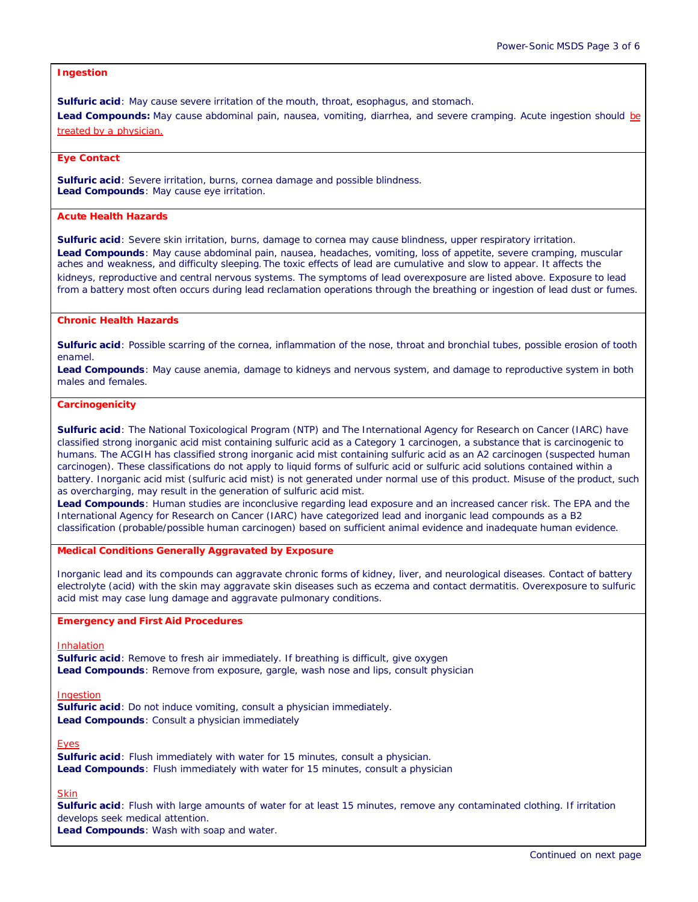## **Ingestion**

**Sulfuric acid**: May cause severe irritation of the mouth, throat, esophagus, and stomach.

Lead Compounds: May cause abdominal pain, nausea, vomiting, diarrhea, and severe cramping. Acute ingestion should be treated by a physician.

#### **Eye Contact**

**Sulfuric acid**: Severe irritation, burns, cornea damage and possible blindness. **Lead Compounds**: May cause eye irritation.

## **Acute Health Hazards**

**Sulfuric acid**: Severe skin irritation, burns, damage to cornea may cause blindness, upper respiratory irritation. **Lead Compounds**: May cause abdominal pain, nausea, headaches, vomiting, loss of appetite, severe cramping, muscular aches and weakness, and difficulty sleeping. The toxic effects of lead are cumulative and slow to appear. It affects the kidneys, reproductive and central nervous systems. The symptoms of lead overexposure are listed above. Exposure to lead from a battery most often occurs during lead reclamation operations through the breathing or ingestion of lead dust or fumes.

### **Chronic Health Hazards**

**Sulfuric acid**: Possible scarring of the cornea, inflammation of the nose, throat and bronchial tubes, possible erosion of tooth enamel.

**Lead Compounds**: May cause anemia, damage to kidneys and nervous system, and damage to reproductive system in both males and females.

#### **Carcinogenicity**

**Sulfuric acid**: The National Toxicological Program (NTP) and The International Agency for Research on Cancer (IARC) have classified strong inorganic acid mist containing sulfuric acid as a Category 1 carcinogen, a substance that is carcinogenic to humans. The ACGIH has classified strong inorganic acid mist containing sulfuric acid as an A2 carcinogen (suspected human carcinogen). These classifications do not apply to liquid forms of sulfuric acid or sulfuric acid solutions contained within a battery. Inorganic acid mist (sulfuric acid mist) is not generated under normal use of this product. Misuse of the product, such as overcharging, may result in the generation of sulfuric acid mist.

**Lead Compounds**: Human studies are inconclusive regarding lead exposure and an increased cancer risk. The EPA and the International Agency for Research on Cancer (IARC) have categorized lead and inorganic lead compounds as a B2 classification (probable/possible human carcinogen) based on sufficient animal evidence and inadequate human evidence.

#### **Medical Conditions Generally Aggravated by Exposure**

Inorganic lead and its compounds can aggravate chronic forms of kidney, liver, and neurological diseases. Contact of battery electrolyte (acid) with the skin may aggravate skin diseases such as eczema and contact dermatitis. Overexposure to sulfuric acid mist may case lung damage and aggravate pulmonary conditions.

### **Emergency and First Aid Procedures**

*Inhalation*

**Sulfuric acid**: Remove to fresh air immediately. If breathing is difficult, give oxygen **Lead Compounds**: Remove from exposure, gargle, wash nose and lips, consult physician

#### *Ingestion*

**Sulfuric acid**: Do not induce vomiting, consult a physician immediately. **Lead Compounds**: Consult a physician immediately

#### *Eyes*

**Sulfuric acid**: Flush immediately with water for 15 minutes, consult a physician. **Lead Compounds**: Flush immediately with water for 15 minutes, consult a physician

#### *Skin*

**Sulfuric acid**: Flush with large amounts of water for at least 15 minutes, remove any contaminated clothing. If irritation develops seek medical attention.

**Lead Compounds**: Wash with soap and water.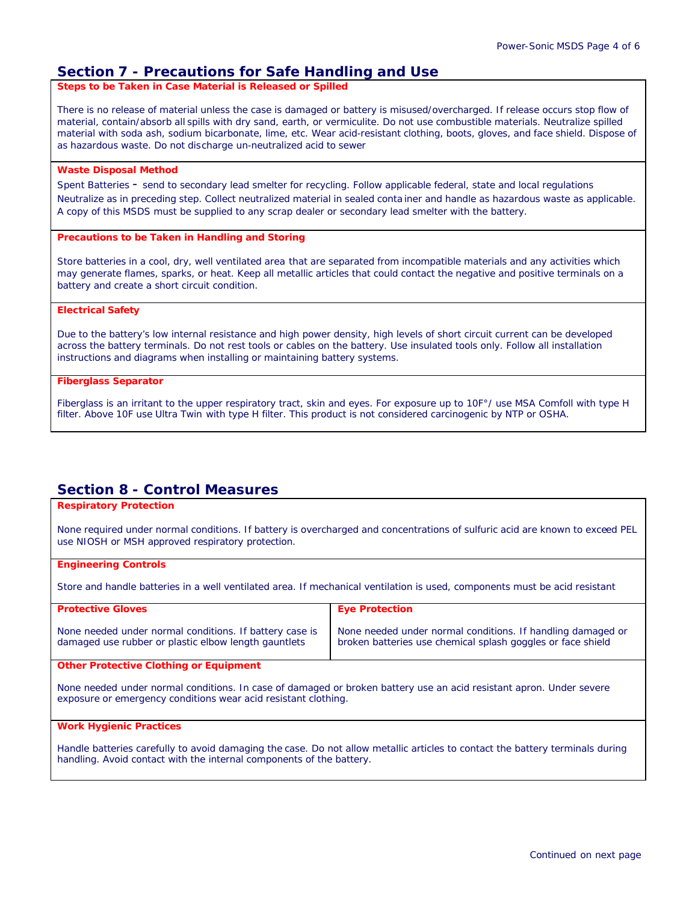## **Section 7 - Precautions for Safe Handling and Use**

**Steps to be Taken in Case Material is Released or Spilled**

There is no release of material unless the case is damaged or battery is misused/overcharged. If release occurs stop flow of material, contain/absorb all spills with dry sand, earth, or vermiculite. Do not use combustible materials. Neutralize spilled material with soda ash, sodium bicarbonate, lime, etc. Wear acid-resistant clothing, boots, gloves, and face shield. Dispose of as hazardous waste. Do not discharge un-neutralized acid to sewer

### **Waste Disposal Method**

Spent Batteries - send to secondary lead smelter for recycling. Follow applicable federal, state and local regulations Neutralize as in preceding step. Collect neutralized material in sealed conta iner and handle as hazardous waste as applicable. A copy of this MSDS must be supplied to any scrap dealer or secondary lead smelter with the battery.

### **Precautions to be Taken in Handling and Storing**

Store batteries in a cool, dry, well ventilated area that are separated from incompatible materials and any activities which may generate flames, sparks, or heat. Keep all metallic articles that could contact the negative and positive terminals on a battery and create a short circuit condition.

#### **Electrical Safety**

Due to the battery's low internal resistance and high power density, high levels of short circuit current can be developed across the battery terminals. Do not rest tools or cables on the battery. Use insulated tools only. Follow all installation instructions and diagrams when installing or maintaining battery systems.

#### **Fiberglass Separator**

Fiberglass is an irritant to the upper respiratory tract, skin and eyes. For exposure up to 10F°/ use MSA Comfoll with type H filter. Above 10F use Ultra Twin with type H filter. This product is not considered carcinogenic by NTP or OSHA.

## **Section 8 - Control Measures**

## **Respiratory Protection**

None required under normal conditions. If battery is overcharged and concentrations of sulfuric acid are known to exceed PEL use NIOSH or MSH approved respiratory protection.

## **Engineering Controls**

Store and handle batteries in a well ventilated area. If mechanical ventilation is used, components must be acid resistant

| <b>Protective Gloves</b>                                                                                        | <b>Eye Protection</b>                                                                                                      |
|-----------------------------------------------------------------------------------------------------------------|----------------------------------------------------------------------------------------------------------------------------|
| None needed under normal conditions. If battery case is<br>damaged use rubber or plastic elbow length gauntlets | None needed under normal conditions. If handling damaged or<br>broken batteries use chemical splash goggles or face shield |
| <b>Other Protective Clothing or Equipment</b>                                                                   |                                                                                                                            |

None needed under normal conditions. In case of damaged or broken battery use an acid resistant apron. Under severe exposure or emergency conditions wear acid resistant clothing.

### **Work Hygienic Practices**

Handle batteries carefully to avoid damaging the case. Do not allow metallic articles to contact the battery terminals during handling. Avoid contact with the internal components of the battery.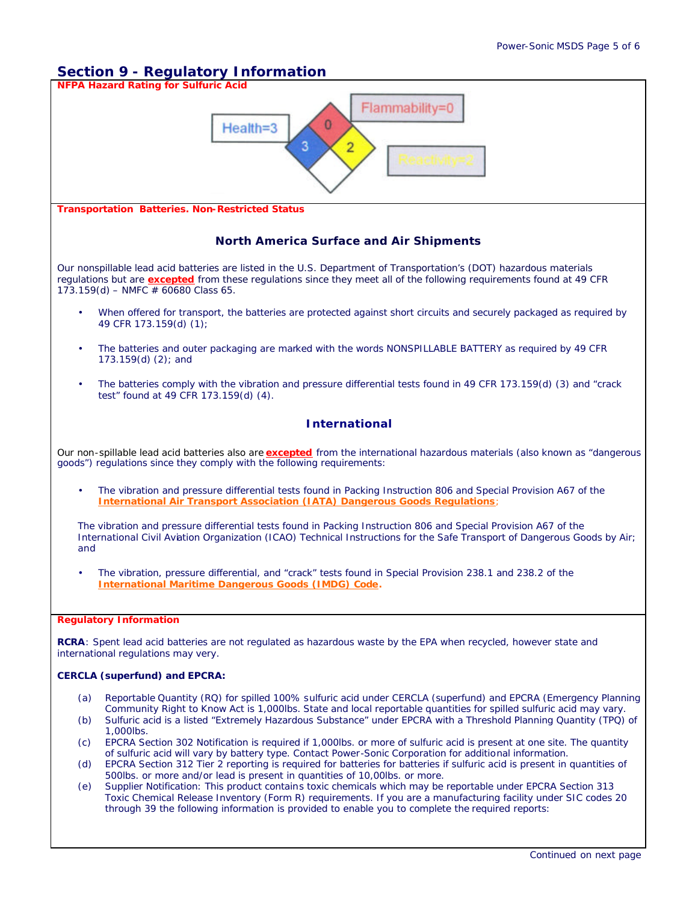# **Section 9 - Regulatory Information**



Toxic Chemical Release Inventory (Form R) requirements. If you are a manufacturing facility under SIC codes 20 through 39 the following information is provided to enable you to complete the required reports: